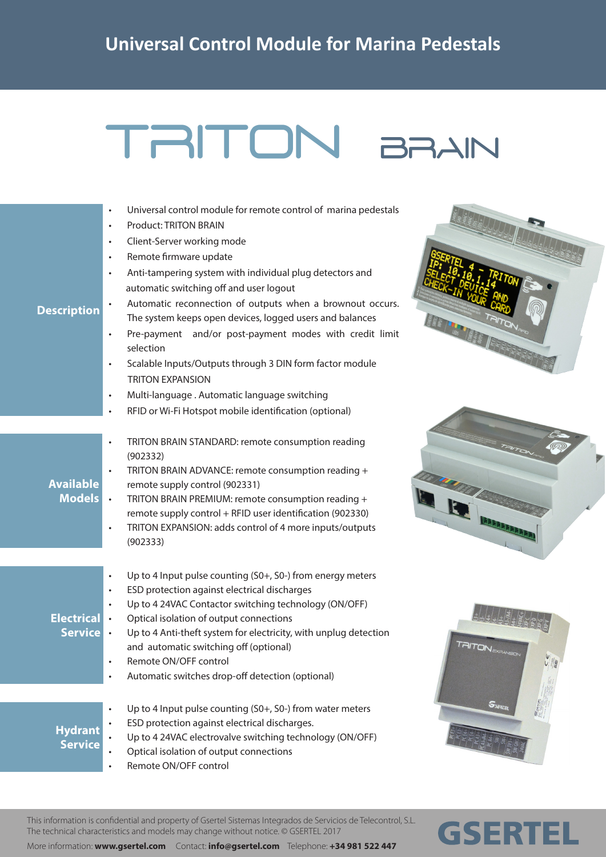## TRITON BRAIN

- Universal control module for remote control of marina pedestals
- Product: TRITON BRAIN
- Client-Server working mode
- Remote firmware update
- Anti-tampering system with individual plug detectors and automatic switching off and user logout
- **Description**

**Available**

- Automatic reconnection of outputs when a brownout occurs. The system keeps open devices, logged users and balances
- Pre-payment and/or post-payment modes with credit limit selection
- Scalable Inputs/Outputs through 3 DIN form factor module TRITON EXPANSION
- Multi-language . Automatic language switching
- RFID or Wi-Fi Hotspot mobile identification (optional)
- TRITON BRAIN STANDARD: remote consumption reading (902332)
- TRITON BRAIN ADVANCE: remote consumption reading + remote supply control (902331)
- **Models** • TRITON BRAIN PREMIUM: remote consumption reading + remote supply control + RFID user identification (902330)
	- TRITON EXPANSION: adds control of 4 more inputs/outputs (902333)
	- Up to 4 Input pulse counting (S0+, S0-) from energy meters
	- ESD protection against electrical discharges
	- Up to 4 24VAC Contactor switching technology (ON/OFF)
- **Electrical** • Optical isolation of output connections
	- **Service** Up to 4 Anti-theft system for electricity, with unplug detection and automatic switching off (optional)

Up to 4 Input pulse counting (S0+, S0-) from water meters

- Remote ON/OFF control
- Automatic switches drop-off detection (optional)
- **Hydrant**
- **Service**
- ESD protection against electrical discharges.
- Up to 4 24VAC electrovalve switching technology (ON/OFF)
- Optical isolation of output connections
	- Remote ON/OFF control







**GSERTEL** 

## This information is confidential and property of Gsertel Sistemas Integrados de Servicios de Telecontrol, S.L. The technical characteristics and models may change without notice. © GSERTEL 2017